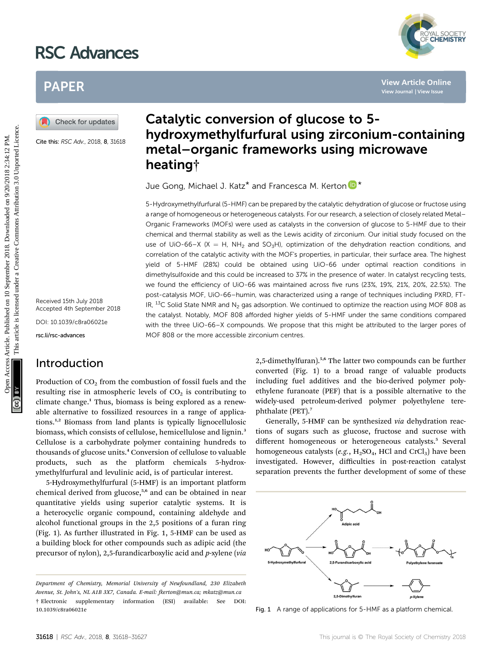# RSC Advances



# PAPER

Cite this: RSC Adv., 2018, 8, 31618

Received 15th July 2018 Accepted 4th September 2018

DOI: 10.1039/c8ra06021e

rsc.li/rsc-advances

# Introduction

Production of  $CO<sub>2</sub>$  from the combustion of fossil fuels and the resulting rise in atmospheric levels of  $CO<sub>2</sub>$  is contributing to climate change.<sup>1</sup> Thus, biomass is being explored as a renewable alternative to fossilized resources in a range of applications.1,2 Biomass from land plants is typically lignocellulosic biomass, which consists of cellulose, hemicellulose and lignin.<sup>3</sup> Cellulose is a carbohydrate polymer containing hundreds to thousands of glucose units.<sup>4</sup> Conversion of cellulose to valuable products, such as the platform chemicals 5-hydroxymethylfurfural and levulinic acid, is of particular interest.

5-Hydroxymethylfurfural (5-HMF) is an important platform chemical derived from glucose,<sup>5,6</sup> and can be obtained in near quantitative yields using superior catalytic systems. It is a heterocyclic organic compound, containing aldehyde and alcohol functional groups in the 2,5 positions of a furan ring (Fig. 1). As further illustrated in Fig. 1, 5-HMF can be used as a building block for other compounds such as adipic acid (the precursor of nylon), 2,5-furandicarboxylic acid and p-xylene (via

# Catalytic conversion of glucose to 5 hydroxymethylfurfural using zirconium-containing metal–organic frameworks using microwave heating†

Jue Go[n](http://orcid.org/0000-0002-8165-473X)g, Michael J. Katz\* and Francesca M. Kerton  $\mathbb{D}^*$ 

5-Hydroxymethylfurfural (5-HMF) can be prepared by the catalytic dehydration of glucose or fructose using a range of homogeneous or heterogeneous catalysts. For our research, a selection of closely related Metal– Organic Frameworks (MOFs) were used as catalysts in the conversion of glucose to 5-HMF due to their chemical and thermal stability as well as the Lewis acidity of zirconium. Our initial study focused on the use of UiO-66–X (X = H, NH<sub>2</sub> and SO<sub>3</sub>H), optimization of the dehydration reaction conditions, and correlation of the catalytic activity with the MOF's properties, in particular, their surface area. The highest yield of 5-HMF (28%) could be obtained using UiO-66 under optimal reaction conditions in dimethylsulfoxide and this could be increased to 37% in the presence of water. In catalyst recycling tests, we found the efficiency of UiO-66 was maintained across five runs (23%, 19%, 21%, 20%, 22.5%). The post-catalysis MOF, UiO-66–humin, was characterized using a range of techniques including PXRD, FT-IR,  $^{13}$ C Solid State NMR and N<sub>2</sub> gas adsorption. We continued to optimize the reaction using MOF 808 as the catalyst. Notably, MOF 808 afforded higher yields of 5-HMF under the same conditions compared with the three UiO-66–X compounds. We propose that this might be attributed to the larger pores of MOF 808 or the more accessible zirconium centres. PAPER<br>
Consider the second and a state **Conversion of glucose to 5-**<br>
Consider the second and a state **hydroxymethylfurfural using zirconium-containing<br>
Consider the second a state <b>hydroxymethylfurfural using zirconium-c** 

2,5-dimethylfuran).5,6 The latter two compounds can be further converted (Fig. 1) to a broad range of valuable products including fuel additives and the bio-derived polymer polyethylene furanoate (PEF) that is a possible alternative to the widely-used petroleum-derived polymer polyethylene terephthalate (PET).<sup>7</sup>

Generally, 5-HMF can be synthesized via dehydration reactions of sugars such as glucose, fructose and sucrose with different homogeneous or heterogeneous catalysts.<sup>5</sup> Several homogeneous catalysts (e.g.,  $H_2SO_4$ , HCl and CrCl<sub>3</sub>) have been investigated. However, difficulties in post-reaction catalyst separation prevents the further development of some of these



Fig. 1 A range of applications for 5-HMF as a platform chemical.

Department of Chemistry, Memorial University of Newfoundland, 230 Elizabeth Avenue, St. John's, NL A1B 3X7, Canada. E-mail: fkerton@mun.ca; mkatz@mun.ca † Electronic supplementary information (ESI) available: See DOI: 10.1039/c8ra06021e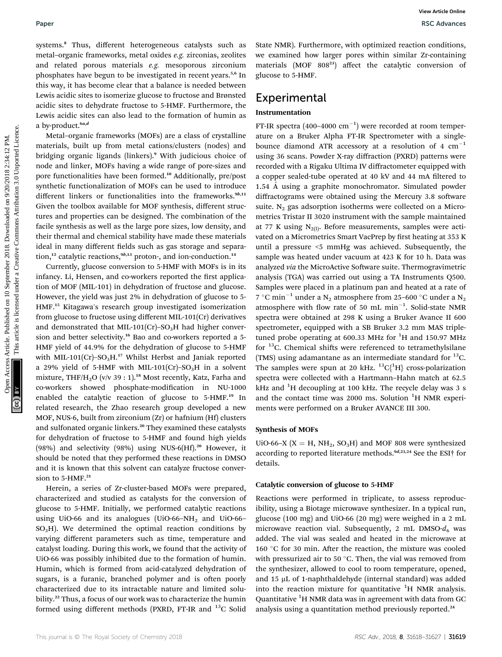systems.<sup>8</sup> Thus, different heterogeneous catalysts such as metal–organic frameworks, metal oxides e.g. zirconias, zeolites and related porous materials e.g. mesoporous zirconium phosphates have begun to be investigated in recent years.<sup>5,6</sup> In this way, it has become clear that a balance is needed between Lewis acidic sites to isomerize glucose to fructose and Brønsted acidic sites to dehydrate fructose to 5-HMF. Furthermore, the Lewis acidic sites can also lead to the formation of humin as a by-product.<sup>6a,d</sup>

Metal–organic frameworks (MOFs) are a class of crystalline materials, built up from metal cations/clusters (nodes) and bridging organic ligands (linkers).<sup>9</sup> With judicious choice of node and linker, MOFs having a wide range of pore-sizes and pore functionalities have been formed.<sup>10</sup> Additionally, pre/post synthetic functionalization of MOFs can be used to introduce different linkers or functionalities into the frameworks.<sup>9b,11</sup> Given the toolbox available for MOF synthesis, different structures and properties can be designed. The combination of the facile synthesis as well as the large pore sizes, low density, and their thermal and chemical stability have made these materials ideal in many different fields such as gas storage and separation,<sup>12</sup> catalytic reactions,<sup>9*b*,13</sup> proton-, and ion-conduction.<sup>14</sup>

Currently, glucose conversion to 5-HMF with MOFs is in its infancy. Li, Hensen, and co-workers reported the first application of MOF (MIL-101) in dehydration of fructose and glucose. However, the yield was just 2% in dehydration of glucose to 5- HMF.<sup>15</sup> Kitagawa's research group investigated isomerization from glucose to fructose using different MIL-101(Cr) derivatives and demonstrated that MIL-101(Cr)–SO<sub>3</sub>H had higher conversion and better selectivity.<sup>16</sup> Bao and co-workers reported a 5- HMF yield of 44.9% for the dehydration of glucose to 5-HMF with MIL-101(Cr)-SO<sub>3</sub>H.<sup>17</sup> Whilst Herbst and Janiak reported a 29% yield of 5-HMF with MIL-101(Cr)–SO<sub>3</sub>H in a solvent mixture, THF/H<sub>2</sub>O (v/v 39 : 1).<sup>18</sup> Most recently, Katz, Farha and co-workers showed phosphate-modification in NU-1000 enabled the catalytic reaction of glucose to 5-HMF.<sup>19</sup> In related research, the Zhao research group developed a new MOF, NUS-6, built from zirconium (Zr) or hafnium (Hf) clusters and sulfonated organic linkers.<sup>20</sup> They examined these catalysts for dehydration of fructose to 5-HMF and found high yields (98%) and selectivity (98%) using NUS-6(Hf).<sup>20</sup> However, it should be noted that they performed these reactions in DMSO and it is known that this solvent can catalyze fructose conversion to  $5$ -HMF.<sup>21</sup>

Herein, a series of Zr-cluster-based MOFs were prepared, characterized and studied as catalysts for the conversion of glucose to 5-HMF. Initially, we performed catalytic reactions using UiO-66 and its analogues (UiO-66–NH<sub>2</sub> and UiO-66–  $SO<sub>3</sub>H$ ). We determined the optimal reaction conditions by varying different parameters such as time, temperature and catalyst loading. During this work, we found that the activity of UiO-66 was possibly inhibited due to the formation of humin. Humin, which is formed from acid-catalyzed dehydration of sugars, is a furanic, branched polymer and is often poorly characterized due to its intractable nature and limited solubility.<sup>22</sup> Thus, a focus of our work was to characterize the humin formed using different methods (PXRD, FT-IR and 13C Solid

State NMR). Furthermore, with optimized reaction conditions, we examined how larger pores within similar Zr-containing materials (MOF 808<sup>23</sup>) affect the catalytic conversion of glucose to 5-HMF.

## **Experimental**

### Instrumentation

FT-IR spectra (400-4000  $\text{cm}^{-1}$ ) were recorded at room temperature on a Bruker Alpha FT-IR Spectrometer with a singlebounce diamond ATR accessory at a resolution of 4  $cm^{-1}$ using 36 scans. Powder X-ray diffraction (PXRD) patterns were recorded with a Rigaku Ultima IV diffractometer equipped with a copper sealed-tube operated at 40 kV and 44 mA filtered to 1.54  $\AA$  using a graphite monochromator. Simulated powder diffractograms were obtained using the Mercury 3.8 software suite.  $N_2$  gas adsorption isotherms were collected on a Micrometrics Tristar II 3020 instrument with the sample maintained at 77 K using  $N_{2(1)}$ . Before measurements, samples were activated on a Micrometrics Smart VacPrep by first heating at 353 K until a pressure <5 mmHg was achieved. Subsequently, the sample was heated under vacuum at 423 K for 10 h. Data was analyzed via the MicroActive Software suite. Thermogravimetric analysis (TGA) was carried out using a TA Instruments Q500. Samples were placed in a platinum pan and heated at a rate of  $7\,^{\circ}\mathrm{C}\:\mathrm{min}^{-1}$  under a  $\mathrm{N}_2$  atmosphere from 25–600  $^{\circ}\mathrm{C}$  under a  $\mathrm{N}_2$ atmosphere with flow rate of 50 mL  $min^{-1}$ . Solid-state NMR spectra were obtained at 298 K using a Bruker Avance II 600 spectrometer, equipped with a SB Bruker 3.2 mm MAS tripletuned probe operating at 600.33 MHz for <sup>1</sup>H and 150.97 MHz for  $^{13}$ C. Chemical shifts were referenced to tetramethylsilane (TMS) using adamantane as an intermediate standard for  $^{13}$ C. The samples were spun at 20 kHz.  $^{13}C_{1}^{(1}H_{2}^{(1)}$  cross-polarization spectra were collected with a Hartmann–Hahn match at 62.5 kHz and <sup>1</sup>H decoupling at 100 kHz. The recycle delay was 3 s and the contact time was 2000 ms. Solution <sup>1</sup>H NMR experiments were performed on a Bruker AVANCE III 300. Paper<br>
Systems, thus, different heavioptical candidation constraints, collins we examine line in Figure 10.<br>
meltingent increases Articles. Articles. Articles. Articles. Here we also<br>the system and the system and the syst

#### Synthesis of MOFs

UiO-66–X ( $X = H$ , NH<sub>2</sub>, SO<sub>3</sub>H) and MOF 808 were synthesized according to reported literature methods.<sup>9d,23,24</sup> See the ESI<sup>†</sup> for details.

#### Catalytic conversion of glucose to 5-HMF

Reactions were performed in triplicate, to assess reproducibility, using a Biotage microwave synthesizer. In a typical run, glucose (100 mg) and UiO-66 (20 mg) were weighed in a 2 mL microwave reaction vial. Subsequently, 2 mL DMSO- $d_6$  was added. The vial was sealed and heated in the microwave at 160  $\degree$ C for 30 min. After the reaction, the mixture was cooled with pressurized air to 50 $^{\circ}$ C. Then, the vial was removed from the synthesizer, allowed to cool to room temperature, opened, and 15  $\mu$ L of 1-naphthaldehyde (internal standard) was added into the reaction mixture for quantitative  ${}^{1}H$  NMR analysis. Quantitative <sup>1</sup>H NMR data was in agreement with data from GC analysis using a quantitation method previously reported.<sup>24</sup>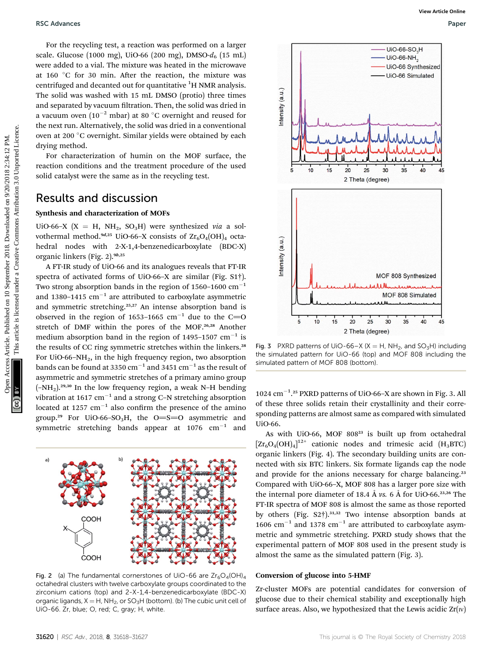For the recycling test, a reaction was performed on a larger scale. Glucose (1000 mg), UiO-66 (200 mg), DMSO- $d_6$  (15 mL) were added to a vial. The mixture was heated in the microwave at 160  $\degree$ C for 30 min. After the reaction, the mixture was centrifuged and decanted out for quantitative  $^1{\rm H}$  NMR analysis. The solid was washed with 15 mL DMSO (protio) three times and separated by vacuum filtration. Then, the solid was dried in a vacuum oven  $\left(10^{-2} \text{ mbar}\right)$  at 80  $^{\circ} \text{C}$  overnight and reused for the next run. Alternatively, the solid was dried in a conventional oven at 200 °C overnight. Similar yields were obtained by each drying method.

For characterization of humin on the MOF surface, the reaction conditions and the treatment procedure of the used solid catalyst were the same as in the recycling test.

### Results and discussion

#### Synthesis and characterization of MOFs

UiO-66-X (X = H, NH<sub>2</sub>, SO<sub>3</sub>H) were synthesized via a solvothermal method.<sup>9d,25</sup> UiO-66-X consists of  $\text{Zr}_6\text{O}_4(\text{OH})_4$  octahedral nodes with 2-X-1,4-benzenedicarboxylate (BDC-X) organic linkers (Fig. 2). $9b,25$ 

A FT-IR study of UiO-66 and its analogues reveals that FT-IR spectra of activated forms of UiO-66–X are similar (Fig. S1†). Two strong absorption bands in the region of 1560–1600  $\rm cm^{-1}$ and 1380–1415  $\mathrm{cm}^{-1}$  are attributed to carboxylate asymmetric and symmetric stretching.<sup>25,27</sup> An intense absorption band is observed in the region of 1653-1665  $\mathrm{cm}^{-1}$  due to the C=O stretch of DMF within the pores of the MOF.26,28 Another medium absorption band in the region of 1495-1507  $\mathrm{cm}^{-1}$  is the results of CC ring symmetric stretches within the linkers.<sup>28</sup> For UiO-66–NH<sub>2</sub>, in the high frequency region, two absorption bands can be found at 3350  $\rm cm^{-1}$  and 3451  $\rm cm^{-1}$  as the result of asymmetric and symmetric stretches of a primary amino group  $(-NH<sub>2</sub>)$ .<sup>29,30</sup> In the low frequency region, a weak N-H bending vibration at 1617  $\rm cm^{-1}$  and a strong C–N stretching absorption located at 1257  $\text{cm}^{-1}$  also confirm the presence of the amino group.<sup>29</sup> For UiO-66-SO<sub>3</sub>H, the O=S=O asymmetric and symmetric stretching bands appear at 1076  $cm^{-1}$  and



Fig. 2 (a) The fundamental cornerstones of UiO-66 are  $Zr_6O_4(OH)_4$ octahedral clusters with twelve carboxylate groups coordinated to the zirconium cations (top) and 2-X-1,4-benzenedicarboxylate (BDC-X) organic ligands,  $X = H$ , NH<sub>2</sub>, or SO<sub>3</sub>H (bottom). (b) The cubic unit cell of UiO-66. Zr, blue; O, red; C, gray; H, white.



Fig. 3 PXRD patterns of UiO-66–X (X = H, NH<sub>2</sub>, and SO<sub>3</sub>H) including the simulated pattern for UiO-66 (top) and MOF 808 including the simulated pattern of MOF 808 (bottom).

1024 cm<sup>-1</sup>.<sup>25</sup> PXRD patterns of UiO-66-X are shown in Fig. 3. All of these three solids retain their crystallinity and their corresponding patterns are almost same as compared with simulated UiO-66.

As with UiO-66, MOF 808<sup>23</sup> is built up from octahedral  $\left[\text{Zr}_6\text{O}_4(\text{OH})_4\right]^{12+}$  cationic nodes and trimesic acid  $\left(\text{H}_3\text{BTC}\right)$ organic linkers (Fig. 4). The secondary building units are connected with six BTC linkers. Six formate ligands cap the node and provide for the anions necessary for charge balancing.<sup>23</sup> Compared with UiO-66–X, MOF 808 has a larger pore size with the internal pore diameter of 18.4 Å vs. 6 Å for UiO-66.<sup>23,26</sup> The FT-IR spectra of MOF 808 is almost the same as those reported by others (Fig.  $S2\dagger$ ).<sup>31,32</sup> Two intense absorption bands at 1606  $\text{cm}^{-1}$  and 1378  $\text{cm}^{-1}$  are attributed to carboxylate asymmetric and symmetric stretching. PXRD study shows that the experimental pattern of MOF 808 used in the present study is almost the same as the simulated pattern (Fig. 3).

#### Conversion of glucose into 5-HMF

Zr-cluster MOFs are potential candidates for conversion of glucose due to their chemical stability and exceptionally high surface areas. Also, we hypothesized that the Lewis acidic  $Zr(w)$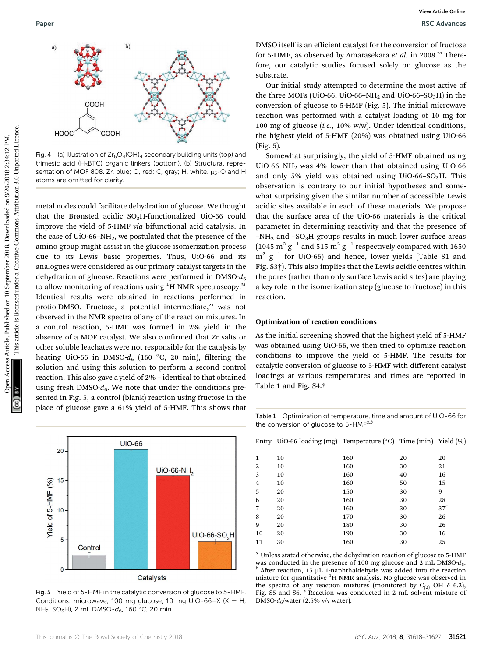

Fig. 4 (a) Illustration of  $Zr_6O_4(OH)_4$  secondary building units (top) and trimesic acid (H<sub>3</sub>BTC) organic linkers (bottom). (b) Structural representation of MOF 808. Zr, blue; O, red; C, gray; H, white.  $\mu_3$ -O and H atoms are omitted for clarity.

metal nodes could facilitate dehydration of glucose. We thought that the Brønsted acidic  $SO<sub>3</sub>H$ -functionalized UiO-66 could improve the yield of 5-HMF via bifunctional acid catalysis. In the case of UiO-66–NH<sub>2</sub>, we postulated that the presence of the amino group might assist in the glucose isomerization process due to its Lewis basic properties. Thus, UiO-66 and its analogues were considered as our primary catalyst targets in the dehydration of glucose. Reactions were performed in  $DMSO-d<sub>6</sub>$ to allow monitoring of reactions using <sup>1</sup>H NMR spectroscopy.<sup>21</sup> Identical results were obtained in reactions performed in protio-DMSO. Fructose, a potential intermediate,<sup>21</sup> was not observed in the NMR spectra of any of the reaction mixtures. In a control reaction, 5-HMF was formed in 2% yield in the absence of a MOF catalyst. We also confirmed that Zr salts or other soluble leachates were not responsible for the catalysis by heating UiO-66 in DMSO- $d_6$  (160 °C, 20 min), filtering the solution and using this solution to perform a second control reaction. This also gave a yield of 2% – identical to that obtained using fresh DMSO- $d_6$ . We note that under the conditions presented in Fig. 5, a control (blank) reaction using fructose in the place of glucose gave a 61% yield of 5-HMF. This shows that Published on 10 September 2018. This article is an edition contained on 2018. The material study strength of a contained the material study article. The material study strength of a creative Common Case of the Creative Com



Fig. 5 Yield of 5-HMF in the catalytic conversion of glucose to 5-HMF. Conditions: microwave, 100 mg glucose, 10 mg UiO-66-X (X = H, NH<sub>2</sub>, SO<sub>3</sub>H), 2 mL DMSO- $d_6$ , 160 °C, 20 min.

DMSO itself is an efficient catalyst for the conversion of fructose for 5-HMF, as observed by Amarasekara et al. in 2008.<sup>21</sup> Therefore, our catalytic studies focused solely on glucose as the substrate.

Our initial study attempted to determine the most active of the three MOFs (UiO-66, UiO-66-NH<sub>2</sub> and UiO-66-SO<sub>3</sub>H) in the conversion of glucose to 5-HMF (Fig. 5). The initial microwave reaction was performed with a catalyst loading of 10 mg for 100 mg of glucose (i.e., 10% w/w). Under identical conditions, the highest yield of 5-HMF (20%) was obtained using UiO-66 (Fig. 5).

Somewhat surprisingly, the yield of 5-HMF obtained using UiO-66–NH2 was 4% lower than that obtained using UiO-66 and only 5% yield was obtained using UiO-66-SO<sub>3</sub>H. This observation is contrary to our initial hypotheses and somewhat surprising given the similar number of accessible Lewis acidic sites available in each of these materials. We propose that the surface area of the UiO-66 materials is the critical parameter in determining reactivity and that the presence of  $-NH<sub>2</sub>$  and  $-SO<sub>3</sub>H$  groups results in much lower surface areas  $(1045~\mathrm{m^2~g^{-1}}$  and  $515~\mathrm{m^2~g^{-1}}$  respectively compared with 1650  $m^2$   $g^{-1}$  for UiO-66) and hence, lower yields (Table S1 and Fig. S3†). This also implies that the Lewis acidic centres within the pores (rather than only surface Lewis acid sites) are playing a key role in the isomerization step (glucose to fructose) in this reaction.

#### Optimization of reaction conditions

As the initial screening showed that the highest yield of 5-HMF was obtained using UiO-66, we then tried to optimize reaction conditions to improve the yield of 5-HMF. The results for catalytic conversion of glucose to 5-HMF with different catalyst loadings at various temperatures and times are reported in Table 1 and Fig. S4.†

Table 1 Optimization of temperature, time and amount of UiO-66 for the conversion of glucose to  $5-HMF^{a,b}$ 

|    | Entry UiO-66 loading (mg) Temperature $({}^{\circ}C)$ Time (min) Yield $(\%)$ |     |    |                 |
|----|-------------------------------------------------------------------------------|-----|----|-----------------|
|    |                                                                               |     |    |                 |
| 1  | 10                                                                            | 160 | 20 | 20              |
| 2  | 10                                                                            | 160 | 30 | 21              |
| 3  | 10                                                                            | 160 | 40 | 16              |
| 4  | 10                                                                            | 160 | 50 | 15              |
| 5  | 20                                                                            | 150 | 30 | 9               |
| 6  | 20                                                                            | 160 | 30 | 28              |
| 7  | 20                                                                            | 160 | 30 | 37 <sup>c</sup> |
| 8  | 20                                                                            | 170 | 30 | 26              |
| 9  | 20                                                                            | 180 | 30 | 26              |
| 10 | 20                                                                            | 190 | 30 | 16              |
| 11 | 30                                                                            | 160 | 30 | 25              |
|    |                                                                               |     |    |                 |

<sup>*a*</sup> Unless stated otherwise, the dehydration reaction of glucose to 5-HMF was conducted in the presence of 100 mg glucose and 2 mL DMSO- $d_6$ .  $\frac{b}{c}$  After reaction, 15 µL 1-naphthaldehyde was added into the reaction mixture for quantitative <sup>1</sup>H NMR analysis. No glucose was observed in the spectra of any reaction mixtures (monitored by C<sub>(2)</sub> O<sub>H</sub>  $\delta$  6.2), Fig. S5 and S6.  $\textdegree$  Reaction was conducted in 2 mL solvent mixture of DMSO- $d_6$ /water (2.5% v/v water).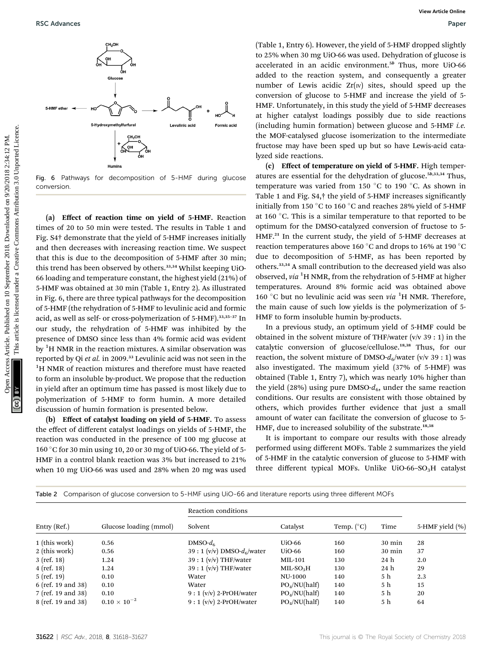

Fig. 6 Pathways for decomposition of 5-HMF during glucose conversion.

(a) Effect of reaction time on yield of 5-HMF. Reaction times of 20 to 50 min were tested. The results in Table 1 and Fig. S4† demonstrate that the yield of 5-HMF increases initially and then decreases with increasing reaction time. We suspect that this is due to the decomposition of 5-HMF after 30 min; this trend has been observed by others.<sup>33,34</sup> Whilst keeping UiO-66 loading and temperature constant, the highest yield (21%) of 5-HMF was obtained at 30 min (Table 1, Entry 2). As illustrated in Fig. 6, there are three typical pathways for the decomposition of 5-HMF (the rehydration of 5-HMF to levulinic acid and formic acid, as well as self- or cross-polymerization of 5-HMF). 33,35-37 In our study, the rehydration of 5-HMF was inhibited by the presence of DMSO since less than 4% formic acid was evident by <sup>1</sup>H NMR in the reaction mixtures. A similar observation was reported by Qi et al. in 2009.<sup>33</sup> Levulinic acid was not seen in the <sup>1</sup>H NMR of reaction mixtures and therefore must have reacted to form an insoluble by-product. We propose that the reduction in yield after an optimum time has passed is most likely due to polymerization of 5-HMF to form humin. A more detailed discussion of humin formation is presented below. FSC Advances<br>
Context Article 2018. The Context Article is the Context Article and Theorem Access Article 2018. The Context Article 2018. The Context Article 2018. The Commons Commons Commons Commons Commons Commons Commo

(b) Effect of catalyst loading on yield of 5-HMF. To assess the effect of different catalyst loadings on yields of 5-HMF, the reaction was conducted in the presence of 100 mg glucose at 160 C for 30 min using 10, 20 or 30 mg of UiO-66. The yield of 5- HMF in a control blank reaction was 3% but increased to 21% when 10 mg UiO-66 was used and 28% when 20 mg was used

(Table 1, Entry 6). However, the yield of 5-HMF dropped slightly to 25% when 30 mg UiO-66 was used. Dehydration of glucose is accelerated in an acidic environment.<sup>5b</sup> Thus, more UiO-66 added to the reaction system, and consequently a greater number of Lewis acidic  $Zr(w)$  sites, should speed up the conversion of glucose to 5-HMF and increase the yield of 5- HMF. Unfortunately, in this study the yield of 5-HMF decreases at higher catalyst loadings possibly due to side reactions (including humin formation) between glucose and  $5-HMF$  *i.e.* the MOF-catalysed glucose isomerization to the intermediate fructose may have been sped up but so have Lewis-acid catalyzed side reactions.

(c) Effect of temperature on yield of 5-HMF. High temperatures are essential for the dehydration of glucose.<sup>5b,33,34</sup> Thus, temperature was varied from 150  $\degree$ C to 190  $\degree$ C. As shown in Table 1 and Fig. S4,<sup>†</sup> the yield of 5-HMF increases significantly initially from 150 °C to 160 °C and reaches 28% yield of 5-HMF at 160 $\degree$ C. This is a similar temperature to that reported to be optimum for the DMSO-catalyzed conversion of fructose to 5- HMF.<sup>21</sup> In the current study, the yield of 5-HMF decreases at reaction temperatures above 160 °C and drops to 16% at 190 °C due to decomposition of 5-HMF, as has been reported by others.<sup>33,34</sup> A small contribution to the decreased yield was also observed, via <sup>1</sup>H NMR, from the rehydration of 5-HMF at higher temperatures. Around 8% formic acid was obtained above 160 °C but no levulinic acid was seen via  ${}^{1}H$  NMR. Therefore, the main cause of such low yields is the polymerization of 5- HMF to form insoluble humin by-products.

In a previous study, an optimum yield of 5-HMF could be obtained in the solvent mixture of THF/water (v/v 39 : 1) in the catalytic conversion of glucose/cellulose.18,38 Thus, for our reaction, the solvent mixture of DMSO- $d_6$ /water (v/v 39 : 1) was also investigated. The maximum yield (37% of 5-HMF) was obtained (Table 1, Entry 7), which was nearly 10% higher than the yield (28%) using pure DMSO- $d_6$ , under the same reaction conditions. Our results are consistent with those obtained by others, which provides further evidence that just a small amount of water can facilitate the conversion of glucose to 5- HMF, due to increased solubility of the substrate.<sup>18,38</sup>

It is important to compare our results with those already performed using different MOFs. Table 2 summarizes the yield of 5-HMF in the catalytic conversion of glucose to 5-HMF with three different typical MOFs. Unlike UiO-66-SO<sub>3</sub>H catalyst

| Table 2 Comparison of glucose conversion to 5-HMF using UiO-66 and literature reports using three different MOFs |  |  |  |
|------------------------------------------------------------------------------------------------------------------|--|--|--|
|                                                                                                                  |  |  |  |

|                    | Glucose loading (mmol) | Reaction conditions             |                           |                     |                  |                 |
|--------------------|------------------------|---------------------------------|---------------------------|---------------------|------------------|-----------------|
| Entry (Ref.)       |                        | Solvent                         | Catalyst                  | Temp. $(^{\circ}C)$ | Time             | 5-HMF yield (%) |
| 1 (this work)      | 0.56                   | DMSO- $d_{6}$                   | UiO-66                    | 160                 | $30 \text{ min}$ | 28              |
| 2 (this work)      | 0.56                   | 39 : 1 (v/v) DMSO- $d_6$ /water | $U$ iO-66                 | 160                 | 30 min           | 37              |
| 3 (ref. 18)        | 1.24                   | $39:1 (v/v)$ THF/water          | MIL-101                   | 130                 | 24 h             | 2.0             |
| 4 (ref. 18)        | 1.24                   | $39:1 (v/v)$ THF/water          | $MIL-SO3H$                | 130                 | 24 <sub>h</sub>  | 29              |
| 5 (ref. 19)        | 0.10                   | Water                           | <b>NU-1000</b>            | 140                 | 5 h              | 2.3             |
| 6 (ref. 19 and 38) | 0.10                   | Water                           | PO <sub>4</sub> /NU(half) | 140                 | 5 h              | 15              |
| 7 (ref. 19 and 38) | 0.10                   | $9:1 (v/v) 2-PrOH/water$        | PO <sub>4</sub> /NU(half) | 140                 | 5 h              | 20              |
| 8 (ref. 19 and 38) | $0.10\times10^{-2}$    | $9:1 (v/v) 2-PrOH/water$        | PO <sub>4</sub> /NU(half) | 140                 | 5 h              | 64              |
|                    |                        |                                 |                           |                     |                  |                 |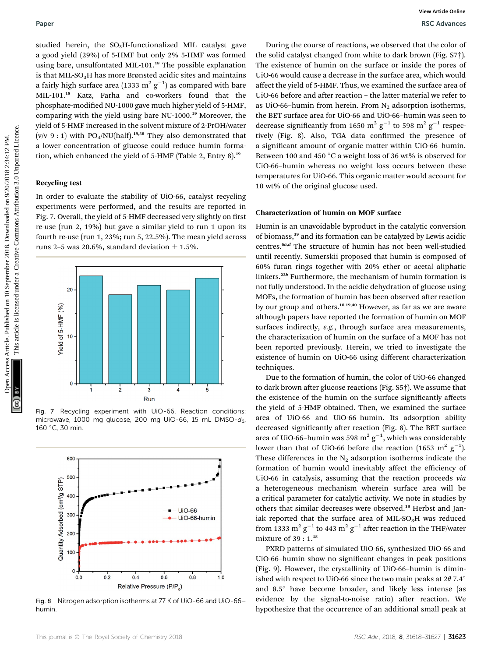studied herein, the  $SO<sub>3</sub>H$ -functionalized MIL catalyst gave a good yield (29%) of 5-HMF but only 2% 5-HMF was formed using bare, unsulfontated MIL-101.<sup>18</sup> The possible explanation is that MIL-SO<sub>3</sub>H has more Brønsted acidic sites and maintains a fairly high surface area (1333  $\mathrm{m^2\, g^{-1}}$ ) as compared with bare MIL-101.<sup>18</sup> Katz, Farha and co-workers found that the phosphate-modified NU-1000 gave much higher yield of 5-HMF, comparing with the yield using bare NU-1000.<sup>19</sup> Moreover, the yield of 5-HMF increased in the solvent mixture of 2-PrOH/water (v/v 9 : 1) with PO<sub>4</sub>/NU(half).<sup>19,38</sup> They also demonstrated that a lower concentration of glucose could reduce humin formation, which enhanced the yield of 5-HMF (Table 2, Entry 8).<sup>19</sup>

#### Recycling test

In order to evaluate the stability of UiO-66, catalyst recycling experiments were performed, and the results are reported in Fig. 7. Overall, the yield of 5-HMF decreased very slightly on first re-use (run 2, 19%) but gave a similar yield to run 1 upon its fourth re-use (run 1, 23%; run 5, 22.5%). The mean yield across runs 2–5 was 20.6%, standard deviation  $\pm$  1.5%.



Fig. 7 Recycling experiment with UiO-66. Reaction conditions: microwave, 1000 mg glucose, 200 mg UiO-66, 15 mL DMSO- $d_6$ , 160 °C, 30 min.



Fig. 8 Nitrogen adsorption isotherms at 77 K of UiO-66 and UiO-66– humin.

During the course of reactions, we observed that the color of the solid catalyst changed from white to dark brown (Fig. S7†). The existence of humin on the surface or inside the pores of UiO-66 would cause a decrease in the surface area, which would affect the yield of 5-HMF. Thus, we examined the surface area of UiO-66 before and after reaction – the latter material we refer to as UiO-66-humin from herein. From  $N_2$  adsorption isotherms, the BET surface area for UiO-66 and UiO-66–humin was seen to decrease significantly from 1650  $m^2$   $g^{-1}$  to 598  $m^2$   $g^{-1}$  respectively (Fig. 8). Also, TGA data confirmed the presence of a significant amount of organic matter within UiO-66-humin. Between 100 and 450 °C a weight loss of 36 wt% is observed for UiO-66–humin whereas no weight loss occurs between these temperatures for UiO-66. This organic matter would account for 10 wt% of the original glucose used.

### Characterization of humin on MOF surface

Humin is an unavoidable byproduct in the catalytic conversion of biomass,<sup>39</sup> and its formation can be catalyzed by Lewis acidic centres.<sup>6a,d</sup> The structure of humin has not been well-studied until recently. Sumerskii proposed that humin is composed of 60% furan rings together with 20% ether or acetal aliphatic linkers.<sup>22b</sup> Furthermore, the mechanism of humin formation is not fully understood. In the acidic dehydration of glucose using MOFs, the formation of humin has been observed after reaction by our group and others.<sup>18,19,40</sup> However, as far as we are aware although papers have reported the formation of humin on MOF surfaces indirectly, e.g., through surface area measurements, the characterization of humin on the surface of a MOF has not been reported previously. Herein, we tried to investigate the existence of humin on UiO-66 using different characterization techniques. Paper<br>
SEA denoming the COM of Common access Articles. Published on 10 September 2018. The Common access Article is licensed under the common access Article is licensed view of the common access Article is licensed view of

Due to the formation of humin, the color of UiO-66 changed to dark brown after glucose reactions (Fig. S5†). We assume that the existence of the humin on the surface signicantly affects the yield of 5-HMF obtained. Then, we examined the surface area of UiO-66 and UiO-66–humin. Its adsorption ability decreased significantly after reaction (Fig. 8). The BET surface area of UiO-66-humin was 598 m<sup>2</sup>  $g^{-1}$ , which was considerably lower than that of UiO-66 before the reaction (1653 m<sup>2</sup> g<sup>-1</sup>). These differences in the  $N_2$  adsorption isotherms indicate the formation of humin would inevitably affect the efficiency of UiO-66 in catalysis, assuming that the reaction proceeds via a heterogeneous mechanism wherein surface area will be a critical parameter for catalytic activity. We note in studies by others that similar decreases were observed.<sup>18</sup> Herbst and Janiak reported that the surface area of MIL-SO<sub>3</sub>H was reduced from 1333  $\mathrm{m^2\,g^{-1}}$  to 443  $\mathrm{m^2\,g^{-1}}$  after reaction in the THF/water mixture of 39 : 1.<sup>18</sup>

PXRD patterns of simulated UiO-66, synthesized UiO-66 and UiO-66–humin show no signicant changes in peak positions (Fig. 9). However, the crystallinity of UiO-66–humin is diminished with respect to UiO-66 since the two main peaks at  $2\theta$  7.4° and  $8.5^\circ$  have become broader, and likely less intense (as evidence by the signal-to-noise ratio) after reaction. We hypothesize that the occurrence of an additional small peak at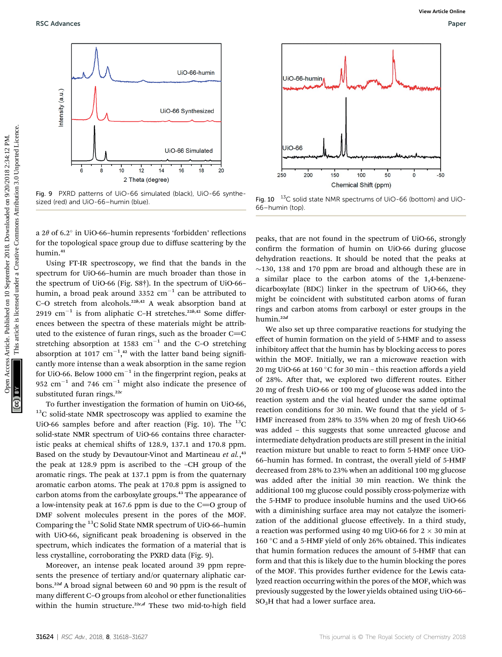

Fig. 9 PXRD patterns of UiO-66 simulated (black), UiO-66 synthesized (red) and UiO-66–humin (blue).

a  $2\theta$  of 6.2 $\degree$  in UiO-66-humin represents 'forbidden' reflections for the topological space group due to diffuse scattering by the humin.<sup>41</sup>

Using FT-IR spectroscopy, we find that the bands in the spectrum for UiO-66–humin are much broader than those in the spectrum of UiO-66 (Fig. S8†). In the spectrum of UiO-66– humin, a broad peak around 3352  $\rm cm^{-1}$  can be attributed to C-O stretch from alcohols.<sup>22b,42</sup> A weak absorption band at 2919  $\text{cm}^{-1}$  is from aliphatic C-H stretches.<sup>22b,42</sup> Some differences between the spectra of these materials might be attributed to the existence of furan rings, such as the broader  $C=C$ stretching absorption at 1583  $\text{cm}^{-1}$  and the C-O stretching absorption at 1017  $cm^{-1}$ ,<sup>42</sup> with the latter band being significantly more intense than a weak absorption in the same region for UiO-66. Below 1000  $\rm cm^{-1}$  in the fingerprint region, peaks at 952  $\text{cm}^{-1}$  and 746  $\text{cm}^{-1}$  might also indicate the presence of substituted furan rings. $22c$ 

To further investigation the formation of humin on UiO-66, <sup>13</sup>C solid-state NMR spectroscopy was applied to examine the UiO-66 samples before and after reaction (Fig. 10). The  $^{13}$ C solid-state NMR spectrum of UiO-66 contains three characteristic peaks at chemical shifts of  $128.9$ ,  $137.1$  and  $170.8$  ppm. Based on the study by Devautour-Vinot and Martineau et al.,<sup>43</sup> the peak at 128.9 ppm is ascribed to the –CH group of the aromatic rings. The peak at 137.1 ppm is from the quaternary aromatic carbon atoms. The peak at 170.8 ppm is assigned to carbon atoms from the carboxylate groups.<sup>43</sup> The appearance of a low-intensity peak at 167.6 ppm is due to the  $C=O$  group of DMF solvent molecules present in the pores of the MOF. Comparing the 13C Solid State NMR spectrum of UiO-66–humin with UiO-66, significant peak broadening is observed in the spectrum, which indicates the formation of a material that is less crystalline, corroborating the PXRD data (Fig. 9).

Moreover, an intense peak located around 39 ppm represents the presence of tertiary and/or quaternary aliphatic carbons.<sup>22</sup><sup>d</sup> A broad signal between 60 and 90 ppm is the result of many different C–O groups from alcohol or ether functionalities within the humin structure.<sup>22c,d</sup> These two mid-to-high field



Fig. 10 <sup>13</sup>C solid state NMR spectrums of UiO-66 (bottom) and UiO-66–humin (top).

peaks, that are not found in the spectrum of UiO-66, strongly confirm the formation of humin on UiO-66 during glucose dehydration reactions. It should be noted that the peaks at  $\sim$ 130, 138 and 170 ppm are broad and although these are in a similar place to the carbon atoms of the 1,4-benzenedicarboxylate (BDC) linker in the spectrum of UiO-66, they might be coincident with substituted carbon atoms of furan rings and carbon atoms from carboxyl or ester groups in the humin.<sup>22d</sup>

We also set up three comparative reactions for studying the effect of humin formation on the yield of 5-HMF and to assess inhibitory affect that the humin has by blocking access to pores within the MOF. Initially, we ran a microwave reaction with 20 mg UiO-66 at 160 °C for 30 min – this reaction affords a yield of 28%. After that, we explored two different routes. Either 20 mg of fresh UiO-66 or 100 mg of glucose was added into the reaction system and the vial heated under the same optimal reaction conditions for 30 min. We found that the yield of 5- HMF increased from 28% to 35% when 20 mg of fresh UiO-66 was added – this suggests that some unreacted glucose and intermediate dehydration products are still present in the initial reaction mixture but unable to react to form 5-HMF once UiO-66–humin has formed. In contrast, the overall yield of 5-HMF decreased from 28% to 23% when an additional 100 mg glucose was added after the initial 30 min reaction. We think the additional 100 mg glucose could possibly cross-polymerize with the 5-HMF to produce insoluble humins and the used UiO-66 with a diminishing surface area may not catalyze the isomerization of the additional glucose effectively. In a third study, a reaction was performed using 40 mg UiO-66 for  $2 \times 30$  min at 160  $\degree$ C and a 5-HMF yield of only 26% obtained. This indicates that humin formation reduces the amount of 5-HMF that can form and that this is likely due to the humin blocking the pores of the MOF. This provides further evidence for the Lewis catalyzed reaction occurring within the pores of the MOF, which was previously suggested by the lower yields obtained using UiO-66–  $SO<sub>3</sub>H$  that had a lower surface area.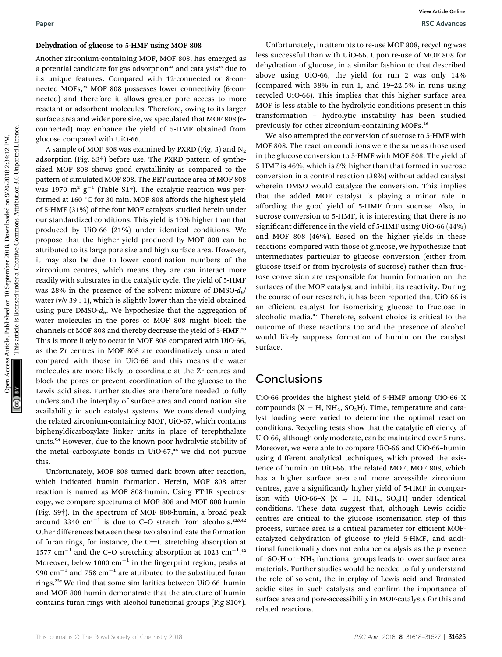#### Dehydration of glucose to 5-HMF using MOF 808

Another zirconium-containing MOF, MOF 808, has emerged as a potential candidate for gas adsorption<sup>44</sup> and catalysis<sup>45</sup> due to its unique features. Compared with 12-connected or 8-connected MOFs,<sup>23</sup> MOF 808 possesses lower connectivity (6-connected) and therefore it allows greater pore access to more reactant or adsorbent molecules. Therefore, owing to its larger surface area and wider pore size, we speculated that MOF 808 (6 connected) may enhance the yield of 5-HMF obtained from glucose compared with UiO-66.

A sample of MOF 808 was examined by PXRD (Fig. 3) and  $N_2$ adsorption (Fig. S3†) before use. The PXRD pattern of synthesized MOF 808 shows good crystallinity as compared to the pattern of simulated MOF 808. The BET surface area of MOF 808 was 1970  $\mathrm{m^2~g^{-1}}$  (Table S1†). The catalytic reaction was performed at 160 °C for 30 min. MOF 808 affords the highest yield of 5-HMF (31%) of the four MOF catalysts studied herein under our standardized conditions. This yield is 10% higher than that produced by UiO-66 (21%) under identical conditions. We propose that the higher yield produced by MOF 808 can be attributed to its large pore size and high surface area. However, it may also be due to lower coordination numbers of the zirconium centres, which means they are can interact more readily with substrates in the catalytic cycle. The yield of 5-HMF was 28% in the presence of the solvent mixture of  $DMSO-d<sub>6</sub>/$ water ( $v/v$  39 : 1), which is slightly lower than the yield obtained using pure DMSO- $d_6$ . We hypothesize that the aggregation of water molecules in the pores of MOF 808 might block the channels of MOF 808 and thereby decrease the yield of 5-HMF.<sup>23</sup> This is more likely to occur in MOF 808 compared with UiO-66, as the Zr centres in MOF 808 are coordinatively unsaturated compared with those in UiO-66 and this means the water molecules are more likely to coordinate at the Zr centres and block the pores or prevent coordination of the glucose to the Lewis acid sites. Further studies are therefore needed to fully understand the interplay of surface area and coordination site availability in such catalyst systems. We considered studying the related zirconium-containing MOF, UiO-67, which contains biphenyldicarboxylate linker units in place of terephthalate units.<sup>9d</sup> However, due to the known poor hydrolytic stability of the metal-carboxylate bonds in UiO-67, $46$  we did not pursue this. Paper Wave the SHM Uniterce in SHM using MOF 808.<br>
Another interval consistent articles are the common and complex<sup>20</sup> the to-distorted uniterval common and the common another interval common and the same of the same of t

Unfortunately, MOF 808 turned dark brown after reaction, which indicated humin formation. Herein, MOF 808 after reaction is named as MOF 808-humin. Using FT-IR spectroscopy, we compare spectrums of MOF 808 and MOF 808-humin (Fig. S9†). In the spectrum of MOF 808-humin, a broad peak around 3340  $\text{cm}^{-1}$  is due to C–O stretch from alcohols.<sup>22b,42</sup> Other differences between these two also indicate the formation of furan rings, for instance, the  $C=C$  stretching absorption at 1577 cm<sup>-1</sup> and the C-O stretching absorption at 1023 cm<sup>-1</sup>.<sup>42</sup> Moreover, below 1000  $\mathrm{cm}^{-1}$  in the fingerprint region, peaks at 990  $\rm cm^{-1}$  and 758  $\rm cm^{-1}$  are attributed to the substituted furan rings.<sup>22c</sup> We find that some similarities between UiO-66-humin and MOF 808-humin demonstrate that the structure of humin contains furan rings with alcohol functional groups (Fig S10†).

Unfortunately, in attempts to re-use MOF 808, recycling was less successful than with UiO-66. Upon re-use of MOF 808 for dehydration of glucose, in a similar fashion to that described above using UiO-66, the yield for run 2 was only 14% (compared with 38% in run 1, and 19–22.5% in runs using recycled UiO-66). This implies that this higher surface area MOF is less stable to the hydrolytic conditions present in this transformation – hydrolytic instability has been studied previously for other zirconium-containing MOFs.<sup>46</sup>

We also attempted the conversion of sucrose to 5-HMF with MOF 808. The reaction conditions were the same as those used in the glucose conversion to 5-HMF with MOF 808. The yield of 5-HMF is 46%, which is 8% higher than that formed in sucrose conversion in a control reaction (38%) without added catalyst wherein DMSO would catalyze the conversion. This implies that the added MOF catalyst is playing a minor role in affording the good yield of 5-HMF from sucrose. Also, in sucrose conversion to 5-HMF, it is interesting that there is no significant difference in the yield of 5-HMF using UiO-66 (44%) and MOF 808 (46%). Based on the higher yields in these reactions compared with those of glucose, we hypothesize that intermediates particular to glucose conversion (either from glucose itself or from hydrolysis of sucrose) rather than fructose conversion are responsible for humin formation on the surfaces of the MOF catalyst and inhibit its reactivity. During the course of our research, it has been reported that UiO-66 is an efficient catalyst for isomerizing glucose to fructose in alcoholic media.<sup>47</sup> Therefore, solvent choice is critical to the outcome of these reactions too and the presence of alcohol would likely suppress formation of humin on the catalyst surface.

## **Conclusions**

UiO-66 provides the highest yield of 5-HMF among UiO-66–X compounds  $(X = H, NH<sub>2</sub>, SO<sub>3</sub>H)$ . Time, temperature and catalyst loading were varied to determine the optimal reaction conditions. Recycling tests show that the catalytic efficiency of UiO-66, although only moderate, can be maintained over 5 runs. Moreover, we were able to compare UiO-66 and UiO-66–humin using different analytical techniques, which proved the existence of humin on UiO-66. The related MOF, MOF 808, which has a higher surface area and more accessible zirconium centres, gave a signicantly higher yield of 5-HMF in comparison with UiO-66-X (X = H, NH<sub>2</sub>, SO<sub>3</sub>H) under identical conditions. These data suggest that, although Lewis acidic centres are critical to the glucose isomerization step of this process, surface area is a critical parameter for efficient MOFcatalyzed dehydration of glucose to yield 5-HMF, and additional functionality does not enhance catalysis as the presence of  $-SO<sub>3</sub>H$  or  $-NH<sub>2</sub>$  functional groups leads to lower surface area materials. Further studies would be needed to fully understand the role of solvent, the interplay of Lewis acid and Brønsted acidic sites in such catalysts and confirm the importance of surface area and pore-accessibility in MOF-catalysts for this and related reactions.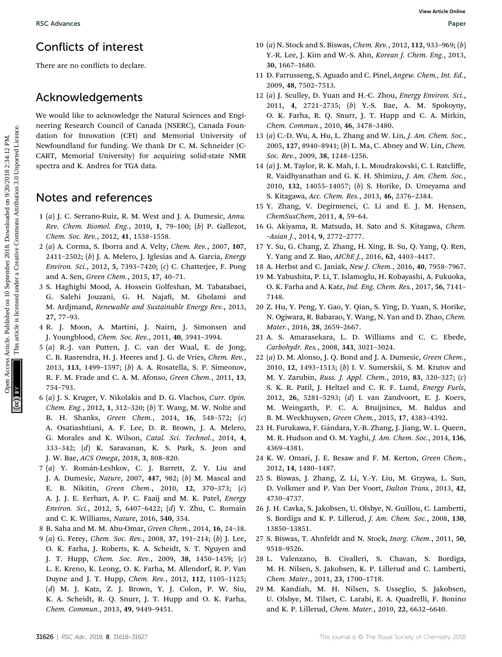# Conflicts of interest

There are no conflicts to declare.

## Acknowledgements

We would like to acknowledge the Natural Sciences and Engineering Research Council of Canada (NSERC), Canada Foundation for Innovation (CFI) and Memorial University of Newfoundland for funding. We thank Dr C. M. Schneider (C-CART, Memorial University) for acquiring solid-state NMR spectra and K. Andrea for TGA data. BSC Advances<br>
There are no conflicts of interest the content of the set of the set of the set of the set of the set of the set of the set of the set of the set of the set of the set of the set of the set of the set of the

## Notes and references

- 1 (a) J. C. Serrano-Ruiz, R. M. West and J. A. Dumesic, Annu. Rev. Chem. Biomol. Eng., 2010, 1, 79–100; (b) P. Gallezot, Chem. Soc. Rev., 2012, 41, 1538–1558.
- 2 (a) A. Corma, S. Iborra and A. Velty, Chem. Rev., 2007, 107, 2411–2502; (b) J. A. Melero, J. Iglesias and A. Garcia, Energy Environ. Sci., 2012, 5, 7393–7420; (c) C. Chatterjee, F. Pong and A. Sen, Green Chem., 2015, 17, 40–71.
- 3 S. Haghighi Mood, A. Hossein Golfeshan, M. Tabatabaei, G. Salehi Jouzani, G. H. Najafi, M. Gholami and M. Ardjmand, Renewable and Sustainable Energy Rev., 2013, 27, 77–93.
- 4 R. J. Moon, A. Martini, J. Nairn, J. Simonsen and J. Youngblood, Chem. Soc. Rev., 2011, 40, 3941–3994.
- 5 (a) R.-J. van Putten, J. C. van der Waal, E. de Jong, C. B. Rasrendra, H. J. Heeres and J. G. de Vries, Chem. Rev., 2013, 113, 1499–1597; (b) A. A. Rosatella, S. P. Simeonov, R. F. M. Frade and C. A. M. Afonso, Green Chem., 2011, 13, 754–793.
- 6 (a) J. S. Kruger, V. Nikolakis and D. G. Vlachos, Curr. Opin. Chem. Eng., 2012, 1, 312–320; (b) T. Wang, M. W. Nolte and B. H. Shanks, Green Chem., 2014, 16, 548–572; (c) A. Osatiashtiani, A. F. Lee, D. R. Brown, J. A. Melero, G. Morales and K. Wilson, Catal. Sci. Technol., 2014, 4, 333–342; (d) K. Saravanan, K. S. Park, S. Jeon and J. W. Bae, ACS Omega, 2018, 3, 808–820.
- 7 (a) Y. Rom´an-Leshkov, C. J. Barrett, Z. Y. Liu and J. A. Dumesic, Nature, 2007, 447, 982; (b) M. Mascal and E. B. Nikitin, Green Chem., 2010, 12, 370–373; (c) A. J. J. E. Eerhart, A. P. C. Faaij and M. K. Patel, Energy Environ. Sci., 2012, 5, 6407–6422; (d) Y. Zhu, C. Romain and C. K. Williams, Nature, 2016, 540, 354.
- 8 B. Saha and M. M. Abu-Omar, Green Chem., 2014, 16, 24–38.
- 9 (a) G. Ferey, Chem. Soc. Rev., 2008, 37, 191–214; (b) J. Lee, O. K. Farha, J. Roberts, K. A. Scheidt, S. T. Nguyen and J. T. Hupp, Chem. Soc. Rev., 2009, 38, 1450–1459; (c) L. E. Kreno, K. Leong, O. K. Farha, M. Allendorf, R. P. Van Duyne and J. T. Hupp, Chem. Rev., 2012, 112, 1105–1125; (d) M. J. Katz, Z. J. Brown, Y. J. Colon, P. W. Siu, K. A. Scheidt, R. Q. Snurr, J. T. Hupp and O. K. Farha, Chem. Commun., 2013, 49, 9449–9451.
- 10 (a) N. Stock and S. Biswas, Chem. Rev., 2012, 112, 933–969; (b) Y.-R. Lee, J. Kim and W.-S. Ahn, Korean J. Chem. Eng., 2013, 30, 1667–1680.
- 11 D. Farrusseng, S. Aguado and C. Pinel, Angew. Chem., Int. Ed., 2009, 48, 7502–7513.
- 12 (a) J. Sculley, D. Yuan and H.-C. Zhou, Energy Environ. Sci., 2011, 4, 2721–2735; (b) Y.-S. Bae, A. M. Spokoyny, O. K. Farha, R. Q. Snurr, J. T. Hupp and C. A. Mirkin, Chem. Commun., 2010, 46, 3478–3480.
- 13 (a) C.-D. Wu, A. Hu, L. Zhang and W. Lin, J. Am. Chem. Soc., 2005, 127, 8940–8941; (b) L. Ma, C. Abney and W. Lin, Chem. Soc. Rev., 2009, 38, 1248–1256.
- 14 (a) J. M. Taylor, R. K. Mah, I. L. Moudrakovski, C. I. Ratcliffe, R. Vaidhyanathan and G. K. H. Shimizu, J. Am. Chem. Soc., 2010, 132, 14055–14057; (b) S. Horike, D. Umeyama and S. Kitagawa, Acc. Chem. Res., 2013, 46, 2376–2384.
- 15 Y. Zhang, V. Degirmenci, C. Li and E. J. M. Hensen, ChemSusChem, 2011, 4, 59–64.
- 16 G. Akiyama, R. Matsuda, H. Sato and S. Kitagawa, Chem. –Asian J., 2014, 9, 2772–2777.
- 17 Y. Su, G. Chang, Z. Zhang, H. Xing, B. Su, Q. Yang, Q. Ren, Y. Yang and Z. Bao, AIChE J., 2016, 62, 4403-4417.
- 18 A. Herbst and C. Janiak, New J. Chem., 2016, 40, 7958–7967.
- 19 M. Yabushita, P. Li, T. Islamoglu, H. Kobayashi, A. Fukuoka, O. K. Farha and A. Katz, Ind. Eng. Chem. Res., 2017, 56, 7141– 7148.
- 20 Z. Hu, Y. Peng, Y. Gao, Y. Qian, S. Ying, D. Yuan, S. Horike, N. Ogiwara, R. Babarao, Y. Wang, N. Yan and D. Zhao, Chem. Mater., 2016, 28, 2659–2667.
- 21 A. S. Amarasekara, L. D. Williams and C. C. Ebede, Carbohydr. Res., 2008, 343, 3021–3024.
- 22 (a) D. M. Alonso, J. Q. Bond and J. A. Dumesic, Green Chem., 2010, 12, 1493–1513; (b) I. V. Sumerskii, S. M. Krutov and M. Y. Zarubin, Russ. J. Appl. Chem., 2010, 83, 320–327; (c) S. K. R. Patil, J. Heltzel and C. R. F. Lund, Energy Fuels, 2012, 26, 5281–5293; (d) I. van Zandvoort, E. J. Koers, M. Weingarth, P. C. A. Bruijnincx, M. Baldus and B. M. Weckhuysen, Green Chem., 2015, 17, 4383–4392.
- 23 H. Furukawa, F. Gándara, Y.-B. Zhang, J. Jiang, W. L. Queen, M. R. Hudson and O. M. Yaghi, J. Am. Chem. Soc., 2014, 136, 4369–4381.
- 24 K. W. Omari, J. E. Besaw and F. M. Kerton, Green Chem., 2012, 14, 1480–1487.
- 25 S. Biswas, J. Zhang, Z. Li, Y.-Y. Liu, M. Grzywa, L. Sun, D. Volkmer and P. Van Der Voort, Dalton Trans., 2013, 42, 4730–4737.
- 26 J. H. Cavka, S. Jakobsen, U. Olsbye, N. Guillou, C. Lamberti, S. Bordiga and K. P. Lillerud, J. Am. Chem. Soc., 2008, 130, 13850–13851.
- 27 S. Biswas, T. Ahnfeldt and N. Stock, Inorg. Chem., 2011, 50, 9518–9526.
- 28 L. Valenzano, B. Civalleri, S. Chavan, S. Bordiga, M. H. Nilsen, S. Jakobsen, K. P. Lillerud and C. Lamberti, Chem. Mater., 2011, 23, 1700–1718.
- 29 M. Kandiah, M. H. Nilsen, S. Usseglio, S. Jakobsen, U. Olsbye, M. Tilset, C. Larabi, E. A. Quadrelli, F. Bonino and K. P. Lillerud, Chem. Mater., 2010, 22, 6632–6640.